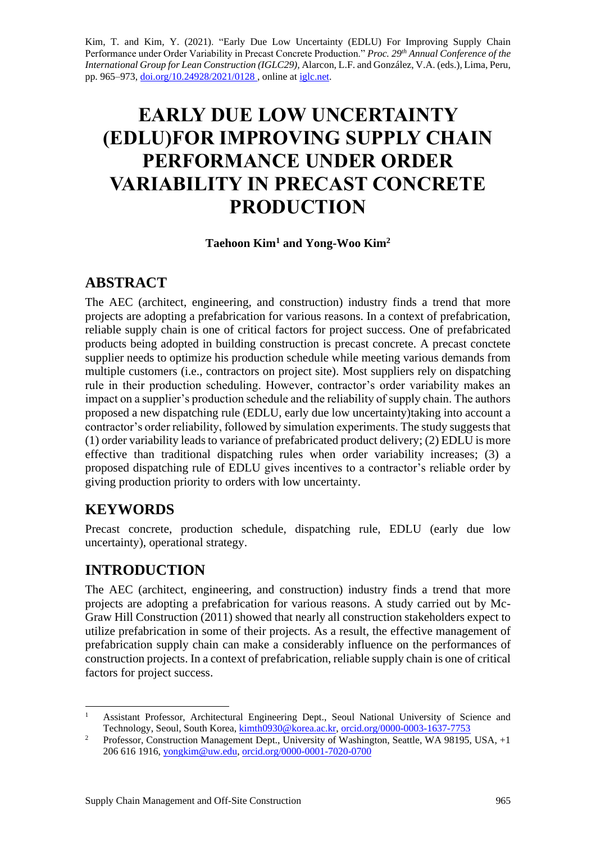Kim, T. and Kim, Y. (2021). "Early Due Low Uncertainty (EDLU) For Improving Supply Chain Performance under Order Variability in Precast Concrete Production." *Proc. 29<sup>th</sup> Annual Conference of the International Group for Lean Construction (IGLC29),* Alarcon, L.F. and González, V.A. (eds.)*,* Lima, Peru, pp. 965–973, [doi.org/10.24928/2021/0128](https://doi.org/10.24928/2021/0128), online at [iglc.net.](http://iglc.net/)

# **EARLY DUE LOW UNCERTAINTY (EDLU)FOR IMPROVING SUPPLY CHAIN PERFORMANCE UNDER ORDER VARIABILITY IN PRECAST CONCRETE PRODUCTION**

### **Taehoon Kim<sup>1</sup> and Yong-Woo Kim<sup>2</sup>**

### **ABSTRACT**

The AEC (architect, engineering, and construction) industry finds a trend that more projects are adopting a prefabrication for various reasons. In a context of prefabrication, reliable supply chain is one of critical factors for project success. One of prefabricated products being adopted in building construction is precast concrete. A precast conctete supplier needs to optimize his production schedule while meeting various demands from multiple customers (i.e., contractors on project site). Most suppliers rely on dispatching rule in their production scheduling. However, contractor's order variability makes an impact on a supplier's production schedule and the reliability of supply chain. The authors proposed a new dispatching rule (EDLU, early due low uncertainty)taking into account a contractor's order reliability, followed by simulation experiments. The study suggests that (1) order variability leads to variance of prefabricated product delivery; (2) EDLU is more effective than traditional dispatching rules when order variability increases; (3) a proposed dispatching rule of EDLU gives incentives to a contractor's reliable order by giving production priority to orders with low uncertainty.

# **KEYWORDS**

Precast concrete, production schedule, dispatching rule, EDLU (early due low uncertainty), operational strategy.

# **INTRODUCTION**

The AEC (architect, engineering, and construction) industry finds a trend that more projects are adopting a prefabrication for various reasons. A study carried out by Mc-Graw Hill Construction (2011) showed that nearly all construction stakeholders expect to utilize prefabrication in some of their projects. As a result, the effective management of prefabrication supply chain can make a considerably influence on the performances of construction projects. In a context of prefabrication, reliable supply chain is one of critical factors for project success.

<sup>1</sup> Assistant Professor, Architectural Engineering Dept., Seoul National University of Science and Technology, Seoul, South Korea, [kimth0930@korea.ac.kr,](mailto:kimth0930@korea.ac.kr) [orcid.org/0000-0003-1637-7753](https://orcid.org/0000-0003-1637-7753)

<sup>&</sup>lt;sup>2</sup> Professor, Construction Management Dept., University of Washington, Seattle, WA 98195, USA, +1 206 616 1916, [yongkim@uw.edu,](mailto:yongkim@uw.edu) [orcid.org/0000-0001-7020-0700](https://orcid.org/0000-0001-7020-0700)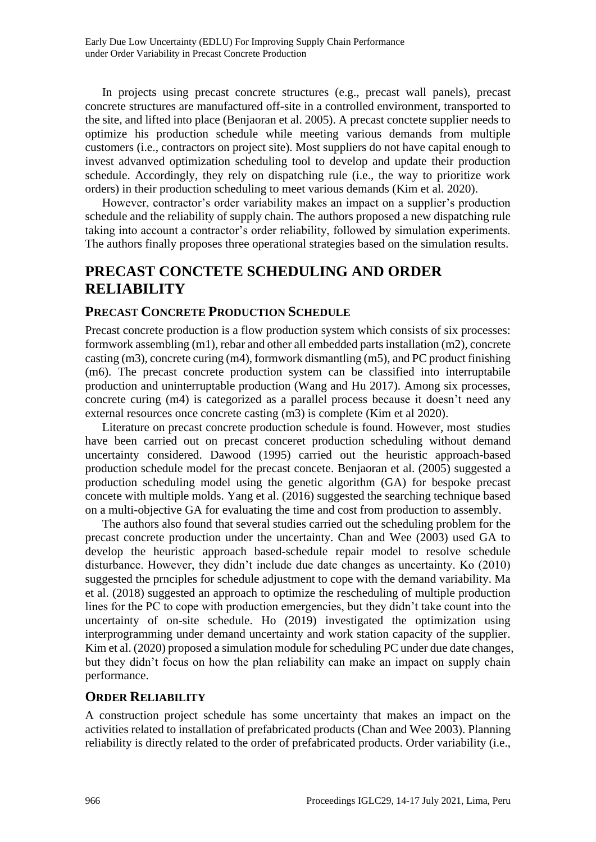In projects using precast concrete structures (e.g., precast wall panels), precast concrete structures are manufactured off-site in a controlled environment, transported to the site, and lifted into place (Benjaoran et al. 2005). A precast conctete supplier needs to optimize his production schedule while meeting various demands from multiple customers (i.e., contractors on project site). Most suppliers do not have capital enough to invest advanved optimization scheduling tool to develop and update their production schedule. Accordingly, they rely on dispatching rule (i.e., the way to prioritize work orders) in their production scheduling to meet various demands (Kim et al. 2020).

However, contractor's order variability makes an impact on a supplier's production schedule and the reliability of supply chain. The authors proposed a new dispatching rule taking into account a contractor's order reliability, followed by simulation experiments. The authors finally proposes three operational strategies based on the simulation results.

# **PRECAST CONCTETE SCHEDULING AND ORDER RELIABILITY**

#### **PRECAST CONCRETE PRODUCTION SCHEDULE**

Precast concrete production is a flow production system which consists of six processes: formwork assembling (m1), rebar and other all embedded parts installation (m2), concrete casting (m3), concrete curing (m4), formwork dismantling (m5), and PC product finishing (m6). The precast concrete production system can be classified into interruptabile production and uninterruptable production (Wang and Hu 2017). Among six processes, concrete curing (m4) is categorized as a parallel process because it doesn't need any external resources once concrete casting (m3) is complete (Kim et al 2020).

Literature on precast concrete production schedule is found. However, most studies have been carried out on precast conceret production scheduling without demand uncertainty considered. Dawood (1995) carried out the heuristic approach-based production schedule model for the precast concete. Benjaoran et al. (2005) suggested a production scheduling model using the genetic algorithm (GA) for bespoke precast concete with multiple molds. Yang et al. (2016) suggested the searching technique based on a multi-objective GA for evaluating the time and cost from production to assembly.

The authors also found that several studies carried out the scheduling problem for the precast concrete production under the uncertainty. Chan and Wee (2003) used GA to develop the heuristic approach based-schedule repair model to resolve schedule disturbance. However, they didn't include due date changes as uncertainty. Ko (2010) suggested the prnciples for schedule adjustment to cope with the demand variability. Ma et al. (2018) suggested an approach to optimize the rescheduling of multiple production lines for the PC to cope with production emergencies, but they didn't take count into the uncertainty of on-site schedule. Ho (2019) investigated the optimization using interprogramming under demand uncertainty and work station capacity of the supplier. Kim et al. (2020) proposed a simulation module for scheduling PC under due date changes, but they didn't focus on how the plan reliability can make an impact on supply chain performance.

#### **ORDER RELIABILITY**

A construction project schedule has some uncertainty that makes an impact on the activities related to installation of prefabricated products (Chan and Wee 2003). Planning reliability is directly related to the order of prefabricated products. Order variability (i.e.,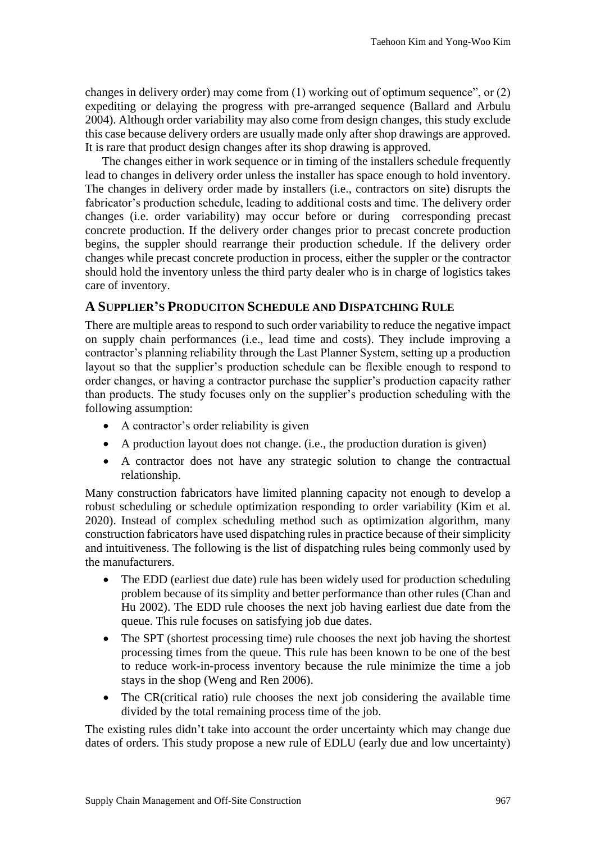changes in delivery order) may come from (1) working out of optimum sequence", or (2) expediting or delaying the progress with pre-arranged sequence (Ballard and Arbulu 2004). Although order variability may also come from design changes, this study exclude this case because delivery orders are usually made only after shop drawings are approved. It is rare that product design changes after its shop drawing is approved.

The changes either in work sequence or in timing of the installers schedule frequently lead to changes in delivery order unless the installer has space enough to hold inventory. The changes in delivery order made by installers (i.e., contractors on site) disrupts the fabricator's production schedule, leading to additional costs and time. The delivery order changes (i.e. order variability) may occur before or during corresponding precast concrete production. If the delivery order changes prior to precast concrete production begins, the suppler should rearrange their production schedule. If the delivery order changes while precast concrete production in process, either the suppler or the contractor should hold the inventory unless the third party dealer who is in charge of logistics takes care of inventory.

#### **A SUPPLIER'S PRODUCITON SCHEDULE AND DISPATCHING RULE**

There are multiple areas to respond to such order variability to reduce the negative impact on supply chain performances (i.e., lead time and costs). They include improving a contractor's planning reliability through the Last Planner System, setting up a production layout so that the supplier's production schedule can be flexible enough to respond to order changes, or having a contractor purchase the supplier's production capacity rather than products. The study focuses only on the supplier's production scheduling with the following assumption:

- A contractor's order reliability is given
- A production layout does not change. (i.e., the production duration is given)
- A contractor does not have any strategic solution to change the contractual relationship.

Many construction fabricators have limited planning capacity not enough to develop a robust scheduling or schedule optimization responding to order variability (Kim et al. 2020). Instead of complex scheduling method such as optimization algorithm, many construction fabricators have used dispatching rules in practice because of their simplicity and intuitiveness. The following is the list of dispatching rules being commonly used by the manufacturers.

- The EDD (earliest due date) rule has been widely used for production scheduling problem because of its simplity and better performance than other rules (Chan and Hu 2002). The EDD rule chooses the next job having earliest due date from the queue. This rule focuses on satisfying job due dates.
- The SPT (shortest processing time) rule chooses the next job having the shortest processing times from the queue. This rule has been known to be one of the best to reduce work-in-process inventory because the rule minimize the time a job stays in the shop (Weng and Ren 2006).
- The CR(critical ratio) rule chooses the next job considering the available time divided by the total remaining process time of the job.

The existing rules didn't take into account the order uncertainty which may change due dates of orders. This study propose a new rule of EDLU (early due and low uncertainty)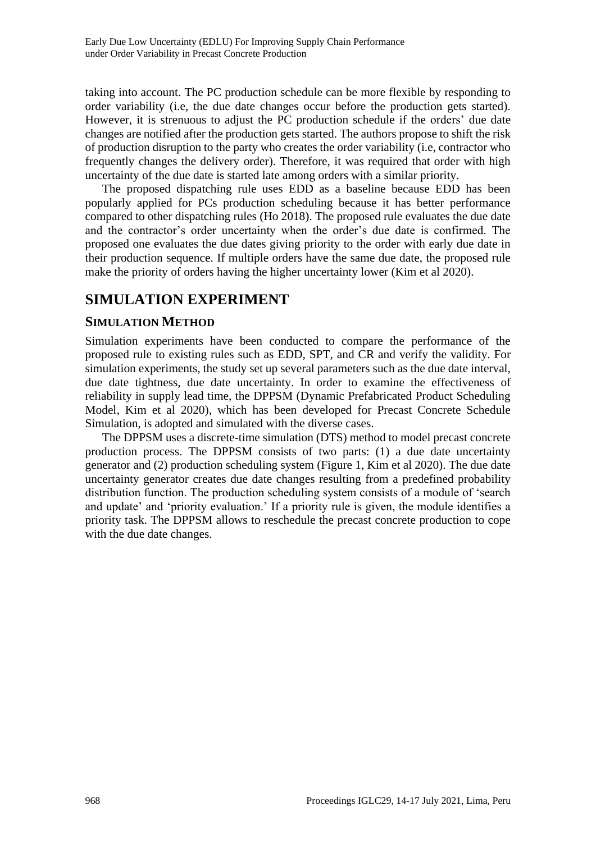taking into account. The PC production schedule can be more flexible by responding to order variability (i.e, the due date changes occur before the production gets started). However, it is strenuous to adjust the PC production schedule if the orders' due date changes are notified after the production gets started. The authors propose to shift the risk of production disruption to the party who creates the order variability (i.e, contractor who frequently changes the delivery order). Therefore, it was required that order with high uncertainty of the due date is started late among orders with a similar priority.

The proposed dispatching rule uses EDD as a baseline because EDD has been popularly applied for PCs production scheduling because it has better performance compared to other dispatching rules (Ho 2018). The proposed rule evaluates the due date and the contractor's order uncertainty when the order's due date is confirmed. The proposed one evaluates the due dates giving priority to the order with early due date in their production sequence. If multiple orders have the same due date, the proposed rule make the priority of orders having the higher uncertainty lower (Kim et al 2020).

### **SIMULATION EXPERIMENT**

#### **SIMULATION METHOD**

Simulation experiments have been conducted to compare the performance of the proposed rule to existing rules such as EDD, SPT, and CR and verify the validity. For simulation experiments, the study set up several parameters such as the due date interval, due date tightness, due date uncertainty. In order to examine the effectiveness of reliability in supply lead time, the DPPSM (Dynamic Prefabricated Product Scheduling Model, Kim et al 2020), which has been developed for Precast Concrete Schedule Simulation, is adopted and simulated with the diverse cases.

The DPPSM uses a discrete-time simulation (DTS) method to model precast concrete production process. The DPPSM consists of two parts: (1) a due date uncertainty generator and (2) production scheduling system (Figure 1, Kim et al 2020). The due date uncertainty generator creates due date changes resulting from a predefined probability distribution function. The production scheduling system consists of a module of 'search and update' and 'priority evaluation.' If a priority rule is given, the module identifies a priority task. The DPPSM allows to reschedule the precast concrete production to cope with the due date changes.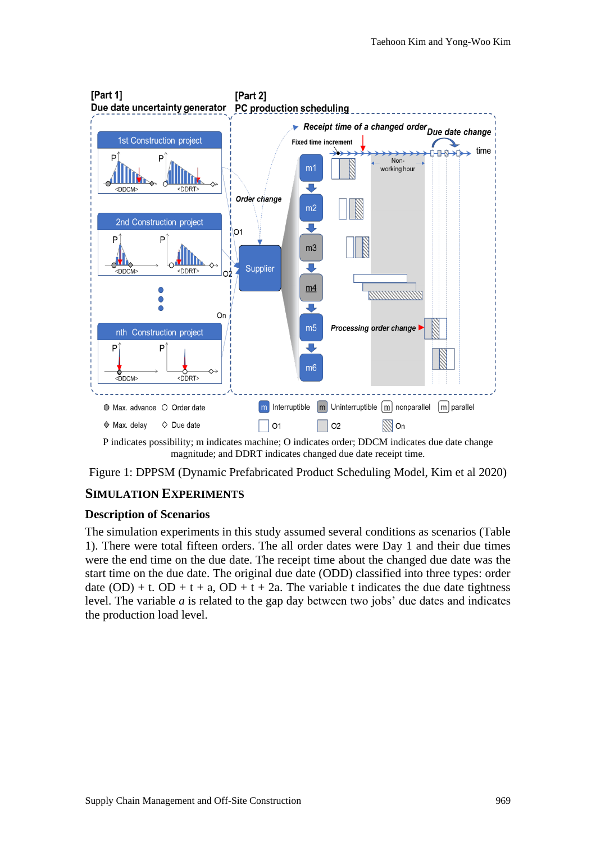

P indicates possibility; m indicates machine; O indicates order; DDCM indicates due date change magnitude; and DDRT indicates changed due date receipt time.

Figure 1: DPPSM (Dynamic Prefabricated Product Scheduling Model, Kim et al 2020)

#### **SIMULATION EXPERIMENTS**

#### **Description of Scenarios**

The simulation experiments in this study assumed several conditions as scenarios (Table 1). There were total fifteen orders. The all order dates were Day 1 and their due times were the end time on the due date. The receipt time about the changed due date was the start time on the due date. The original due date (ODD) classified into three types: order date  $(OD) + t$ .  $OD + t + a$ ,  $OD + t + 2a$ . The variable t indicates the due date tightness level. The variable *a* is related to the gap day between two jobs' due dates and indicates the production load level.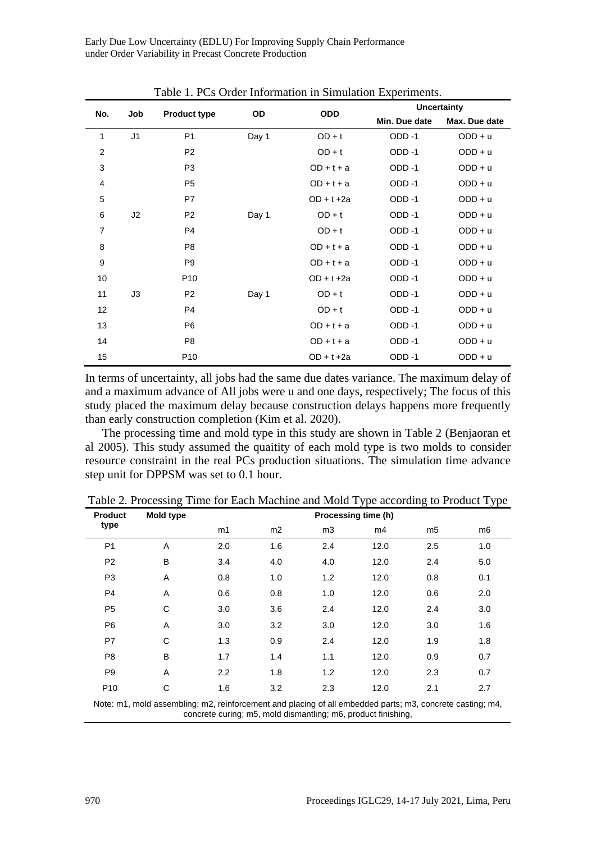| Table 1. PCs Order Information in Simulation Experiments. |                |                     |       |               |                    |               |
|-----------------------------------------------------------|----------------|---------------------|-------|---------------|--------------------|---------------|
|                                                           | Job            | <b>Product type</b> | OD    | <b>ODD</b>    | <b>Uncertainty</b> |               |
| No.                                                       |                |                     |       |               | Min. Due date      | Max. Due date |
| $\mathbf{1}$                                              | J <sub>1</sub> | P <sub>1</sub>      | Day 1 | $OD + t$      | ODD-1              | $ODD + u$     |
| 2                                                         |                | P <sub>2</sub>      |       | $OD + t$      | ODD-1              | $ODD + u$     |
| 3                                                         |                | P <sub>3</sub>      |       | $OD + t + a$  | ODD-1              | $ODD + u$     |
| 4                                                         |                | P <sub>5</sub>      |       | $OD + t + a$  | ODD-1              | $ODD + u$     |
| 5                                                         |                | P7                  |       | $OD + t + 2a$ | ODD-1              | $ODD + u$     |
| 6                                                         | J2             | P <sub>2</sub>      | Day 1 | $OD + t$      | ODD-1              | $ODD + u$     |
| 7                                                         |                | P <sub>4</sub>      |       | $OD + t$      | ODD-1              | $ODD + u$     |
| 8                                                         |                | P <sub>8</sub>      |       | $OD + t + a$  | ODD-1              | $ODD + u$     |
| 9                                                         |                | P <sub>9</sub>      |       | $OD + t + a$  | ODD-1              | $ODD + u$     |
| 10                                                        |                | P <sub>10</sub>     |       | $OD + t + 2a$ | ODD-1              | $ODD + u$     |
| 11                                                        | J3             | P <sub>2</sub>      | Day 1 | $OD + t$      | ODD-1              | $ODD + u$     |
| 12                                                        |                | P <sub>4</sub>      |       | $OD + t$      | ODD-1              | $ODD + u$     |
| 13                                                        |                | P <sub>6</sub>      |       | $OD + t + a$  | ODD-1              | $ODD + u$     |
| 14                                                        |                | P <sub>8</sub>      |       | $OD + t + a$  | ODD-1              | $ODD + u$     |
| 15                                                        |                | P <sub>10</sub>     |       | $OD + t + 2a$ | ODD-1              | $ODD + u$     |

Early Due Low Uncertainty (EDLU) For Improving Supply Chain Performance under Order Variability in Precast Concrete Production

In terms of uncertainty, all jobs had the same due dates variance. The maximum delay of and a maximum advance of All jobs were u and one days, respectively; The focus of this study placed the maximum delay because construction delays happens more frequently than early construction completion (Kim et al. 2020).

The processing time and mold type in this study are shown in Table 2 (Benjaoran et al 2005). This study assumed the quaitity of each mold type is two molds to consider resource constraint in the real PCs production situations. The simulation time advance step unit for DPPSM was set to 0.1 hour.

| <b>Product</b>                                                                                           | Mold type | Processing time (h) |                |     |      |                |     |
|----------------------------------------------------------------------------------------------------------|-----------|---------------------|----------------|-----|------|----------------|-----|
| type                                                                                                     |           | m1                  | m <sub>2</sub> | m3  | m4   | m <sub>5</sub> | m6  |
| P <sub>1</sub>                                                                                           | A         | 2.0                 | 1.6            | 2.4 | 12.0 | 2.5            | 1.0 |
| P <sub>2</sub>                                                                                           | B         | 3.4                 | 4.0            | 4.0 | 12.0 | 2.4            | 5.0 |
| P <sub>3</sub>                                                                                           | A         | 0.8                 | 1.0            | 1.2 | 12.0 | 0.8            | 0.1 |
| P <sub>4</sub>                                                                                           | A         | 0.6                 | 0.8            | 1.0 | 12.0 | 0.6            | 2.0 |
| P <sub>5</sub>                                                                                           | C         | 3.0                 | 3.6            | 2.4 | 12.0 | 2.4            | 3.0 |
| P <sub>6</sub>                                                                                           | A         | 3.0                 | 3.2            | 3.0 | 12.0 | 3.0            | 1.6 |
| P7                                                                                                       | C         | 1.3                 | 0.9            | 2.4 | 12.0 | 1.9            | 1.8 |
| P <sub>8</sub>                                                                                           | B         | 1.7                 | 1.4            | 1.1 | 12.0 | 0.9            | 0.7 |
| P <sub>9</sub>                                                                                           | A         | 2.2                 | 1.8            | 1.2 | 12.0 | 2.3            | 0.7 |
| P <sub>10</sub>                                                                                          | C         | 1.6                 | 3.2            | 2.3 | 12.0 | 2.1            | 2.7 |
| Note: m1, mold assembling: m2, reinforcement and placing of all embedded parts: m3, concrete casting: m4 |           |                     |                |     |      |                |     |

Table 2. Processing Time for Each Machine and Mold Type according to Product Type

Note: m1, mold assembling; m2, reinforcement and placing of all embedded parts; m3, concrete casting; m4, concrete curing; m5, mold dismantling; m6, product finishing,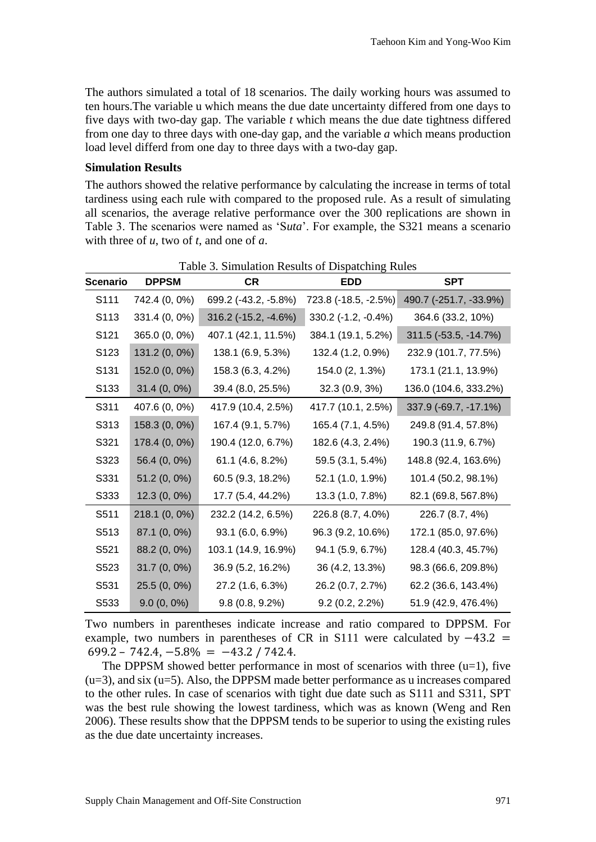The authors simulated a total of 18 scenarios. The daily working hours was assumed to ten hours.The variable u which means the due date uncertainty differed from one days to five days with two-day gap. The variable *t* which means the due date tightness differed from one day to three days with one-day gap, and the variable *a* which means production load level differd from one day to three days with a two-day gap.

#### **Simulation Results**

The authors showed the relative performance by calculating the increase in terms of total tardiness using each rule with compared to the proposed rule. As a result of simulating all scenarios, the average relative performance over the 300 replications are shown in Table 3. The scenarios were named as 'S*uta*'. For example, the S321 means a scenario with three of *u*, two of *t*, and one of *a*.

| <b>Scenario</b>   | <b>DPPSM</b>   | <b>CR</b>            | <b>EDD</b>            | <b>SPT</b>             |
|-------------------|----------------|----------------------|-----------------------|------------------------|
| S <sub>111</sub>  | 742.4 (0, 0%)  | 699.2 (-43.2, -5.8%) | 723.8 (-18.5, -2.5%)  | 490.7 (-251.7, -33.9%) |
| S113              | 331.4 (0, 0%)  | 316.2 (-15.2, -4.6%) | $330.2$ (-1.2, -0.4%) | 364.6 (33.2, 10%)      |
| S121              | 365.0 (0, 0%)  | 407.1 (42.1, 11.5%)  | 384.1 (19.1, 5.2%)    | 311.5 (-53.5, -14.7%)  |
| S <sub>123</sub>  | 131.2 (0, 0%)  | 138.1 (6.9, 5.3%)    | 132.4 (1.2, 0.9%)     | 232.9 (101.7, 77.5%)   |
| S <sub>131</sub>  | 152.0 (0, 0%)  | 158.3 (6.3, 4.2%)    | 154.0 (2, 1.3%)       | 173.1 (21.1, 13.9%)    |
| S <sub>133</sub>  | $31.4(0, 0\%)$ | 39.4 (8.0, 25.5%)    | $32.3(0.9, 3\%)$      | 136.0 (104.6, 333.2%)  |
| S311              | 407.6 (0, 0%)  | 417.9 (10.4, 2.5%)   | 417.7 (10.1, 2.5%)    | 337.9 (-69.7, -17.1%)  |
| S313              | 158.3 (0, 0%)  | 167.4 (9.1, 5.7%)    | 165.4 (7.1, 4.5%)     | 249.8 (91.4, 57.8%)    |
| S321              | 178.4 (0, 0%)  | 190.4 (12.0, 6.7%)   | 182.6 (4.3, 2.4%)     | 190.3 (11.9, 6.7%)     |
| S323              | 56.4 (0, 0%)   | 61.1 (4.6, 8.2%)     | 59.5 (3.1, 5.4%)      | 148.8 (92.4, 163.6%)   |
| S331              | $51.2(0, 0\%)$ | 60.5 (9.3, 18.2%)    | 52.1 (1.0, 1.9%)      | 101.4 (50.2, 98.1%)    |
| S333              | $12.3(0, 0\%)$ | 17.7 (5.4, 44.2%)    | 13.3 (1.0, 7.8%)      | 82.1 (69.8, 567.8%)    |
| S <sub>5</sub> 11 | 218.1 (0, 0%)  | 232.2 (14.2, 6.5%)   | 226.8 (8.7, 4.0%)     | 226.7 (8.7, 4%)        |
| S513              | 87.1 (0, 0%)   | 93.1 (6.0, 6.9%)     | 96.3 (9.2, 10.6%)     | 172.1 (85.0, 97.6%)    |
| S521              | 88.2 (0, 0%)   | 103.1 (14.9, 16.9%)  | 94.1 (5.9, 6.7%)      | 128.4 (40.3, 45.7%)    |
| S523              | $31.7(0, 0\%)$ | 36.9 (5.2, 16.2%)    | 36 (4.2, 13.3%)       | 98.3 (66.6, 209.8%)    |
| S531              | $25.5(0, 0\%)$ | 27.2 (1.6, 6.3%)     | 26.2 (0.7, 2.7%)      | 62.2 (36.6, 143.4%)    |
| S533              | $9.0(0, 0\%)$  | $9.8(0.8, 9.2\%)$    | $9.2(0.2, 2.2\%)$     | 51.9 (42.9, 476.4%)    |

Table 3. Simulation Results of Dispatching Rules

Two numbers in parentheses indicate increase and ratio compared to DPPSM. For example, two numbers in parentheses of CR in S111 were calculated by  $-43.2$  =  $699.2 - 742.4, -5.8\% = -43.2 / 742.4.$ 

The DPPSM showed better performance in most of scenarios with three  $(u=1)$ , five  $(u=3)$ , and six  $(u=5)$ . Also, the DPPSM made better performance as u increases compared to the other rules. In case of scenarios with tight due date such as S111 and S311, SPT was the best rule showing the lowest tardiness, which was as known (Weng and Ren 2006). These results show that the DPPSM tends to be superior to using the existing rules as the due date uncertainty increases.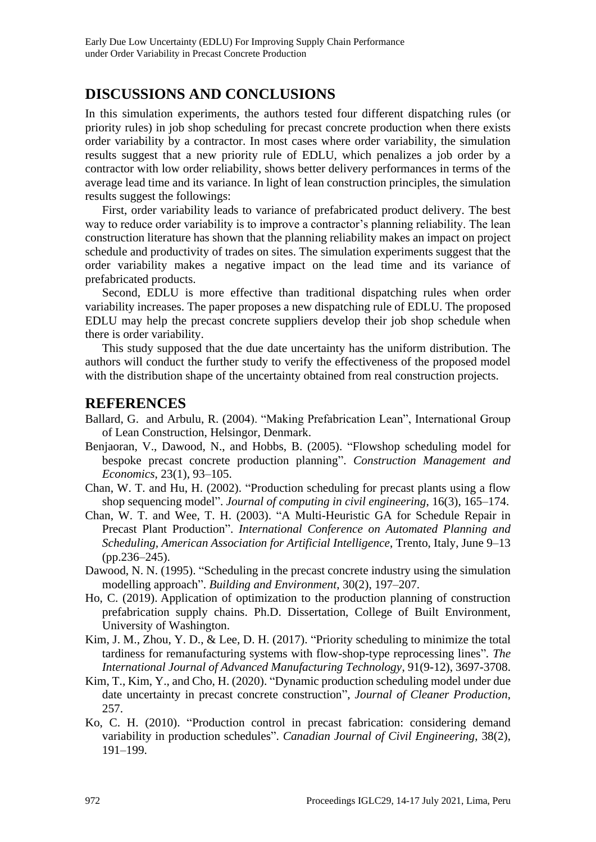### **DISCUSSIONS AND CONCLUSIONS**

In this simulation experiments, the authors tested four different dispatching rules (or priority rules) in job shop scheduling for precast concrete production when there exists order variability by a contractor. In most cases where order variability, the simulation results suggest that a new priority rule of EDLU, which penalizes a job order by a contractor with low order reliability, shows better delivery performances in terms of the average lead time and its variance. In light of lean construction principles, the simulation results suggest the followings:

First, order variability leads to variance of prefabricated product delivery. The best way to reduce order variability is to improve a contractor's planning reliability. The lean construction literature has shown that the planning reliability makes an impact on project schedule and productivity of trades on sites. The simulation experiments suggest that the order variability makes a negative impact on the lead time and its variance of prefabricated products.

Second, EDLU is more effective than traditional dispatching rules when order variability increases. The paper proposes a new dispatching rule of EDLU. The proposed EDLU may help the precast concrete suppliers develop their job shop schedule when there is order variability.

This study supposed that the due date uncertainty has the uniform distribution. The authors will conduct the further study to verify the effectiveness of the proposed model with the distribution shape of the uncertainty obtained from real construction projects.

### **REFERENCES**

- Ballard, G. and Arbulu, R. (2004). "Making Prefabrication Lean", International Group of Lean Construction, Helsingor, Denmark.
- Benjaoran, V., Dawood, N., and Hobbs, B. (2005). "Flowshop scheduling model for bespoke precast concrete production planning". *Construction Management and Economics*, 23(1), 93–105.
- Chan, W. T. and Hu, H. (2002). "Production scheduling for precast plants using a flow shop sequencing model". *Journal of computing in civil engineering*, 16(3), 165–174.
- Chan, W. T. and Wee, T. H. (2003). "A Multi-Heuristic GA for Schedule Repair in Precast Plant Production". *International Conference on Automated Planning and Scheduling, American Association for Artificial Intelligence*, Trento, Italy, June 9–13 (pp.236–245).
- Dawood, N. N. (1995). "Scheduling in the precast concrete industry using the simulation modelling approach". *Building and Environment*, 30(2), 197–207.
- Ho, C. (2019). Application of optimization to the production planning of construction prefabrication supply chains. Ph.D. Dissertation, College of Built Environment, University of Washington.
- Kim, J. M., Zhou, Y. D., & Lee, D. H. (2017). "Priority scheduling to minimize the total tardiness for remanufacturing systems with flow-shop-type reprocessing lines"*. The International Journal of Advanced Manufacturing Technology*, 91(9-12), 3697-3708.
- Kim, T., Kim, Y., and Cho, H. (2020). ["Dynamic production scheduling model under due](https://scholar.google.com/scholar?oi=bibs&cluster=17176779349978759485&btnI=1&hl=en)  [date uncertainty in precast concrete construction"](https://scholar.google.com/scholar?oi=bibs&cluster=17176779349978759485&btnI=1&hl=en), *Journal of Cleaner Production*, 257.
- Ko, C. H. (2010). "Production control in precast fabrication: considering demand variability in production schedules". *Canadian Journal of Civil Engineering*, 38(2), 191–199.